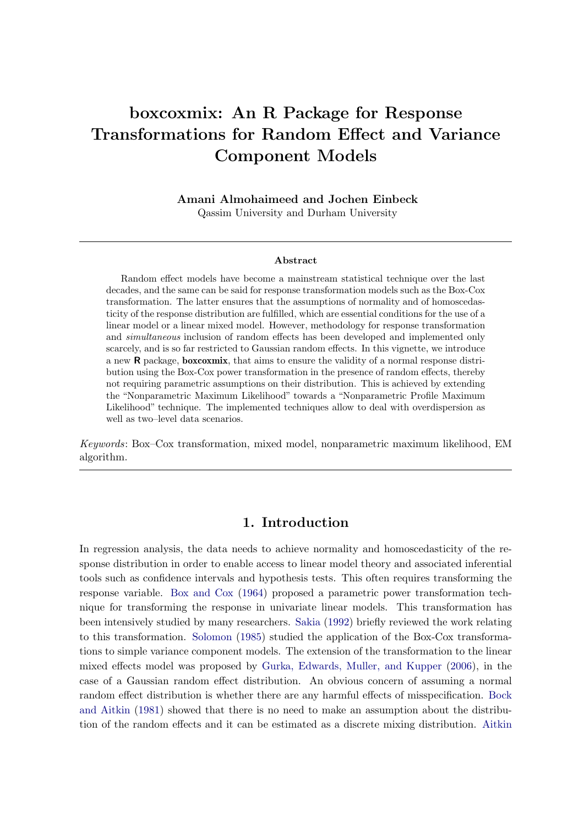# boxcoxmix: An R Package for Response Transformations for Random Effect and Variance Component Models

Amani Almohaimeed and Jochen Einbeck Qassim University and Durham University

#### Abstract

Random effect models have become a mainstream statistical technique over the last decades, and the same can be said for response transformation models such as the Box-Cox transformation. The latter ensures that the assumptions of normality and of homoscedasticity of the response distribution are fulfilled, which are essential conditions for the use of a linear model or a linear mixed model. However, methodology for response transformation and simultaneous inclusion of random effects has been developed and implemented only scarcely, and is so far restricted to Gaussian random effects. In this vignette, we introduce a new R package, boxcoxmix, that aims to ensure the validity of a normal response distribution using the Box-Cox power transformation in the presence of random effects, thereby not requiring parametric assumptions on their distribution. This is achieved by extending the "Nonparametric Maximum Likelihood" towards a "Nonparametric Profile Maximum Likelihood" technique. The implemented techniques allow to deal with overdispersion as well as two–level data scenarios.

Keywords: Box–Cox transformation, mixed model, nonparametric maximum likelihood, EM algorithm.

# 1. Introduction

In regression analysis, the data needs to achieve normality and homoscedasticity of the response distribution in order to enable access to linear model theory and associated inferential tools such as confidence intervals and hypothesis tests. This often requires transforming the response variable. [Box and Cox](#page-17-0) [\(1964\)](#page-17-0) proposed a parametric power transformation technique for transforming the response in univariate linear models. This transformation has been intensively studied by many researchers. [Sakia](#page-18-0) [\(1992\)](#page-18-0) briefly reviewed the work relating to this transformation. [Solomon](#page-18-1) [\(1985\)](#page-18-1) studied the application of the Box-Cox transformations to simple variance component models. The extension of the transformation to the linear mixed effects model was proposed by [Gurka, Edwards, Muller, and Kupper](#page-18-2) [\(2006\)](#page-18-2), in the case of a Gaussian random effect distribution. An obvious concern of assuming a normal random effect distribution is whether there are any harmful effects of misspecification. [Bock](#page-17-1) [and Aitkin](#page-17-1) [\(1981\)](#page-17-1) showed that there is no need to make an assumption about the distribution of the random effects and it can be estimated as a discrete mixing distribution. [Aitkin](#page-17-2)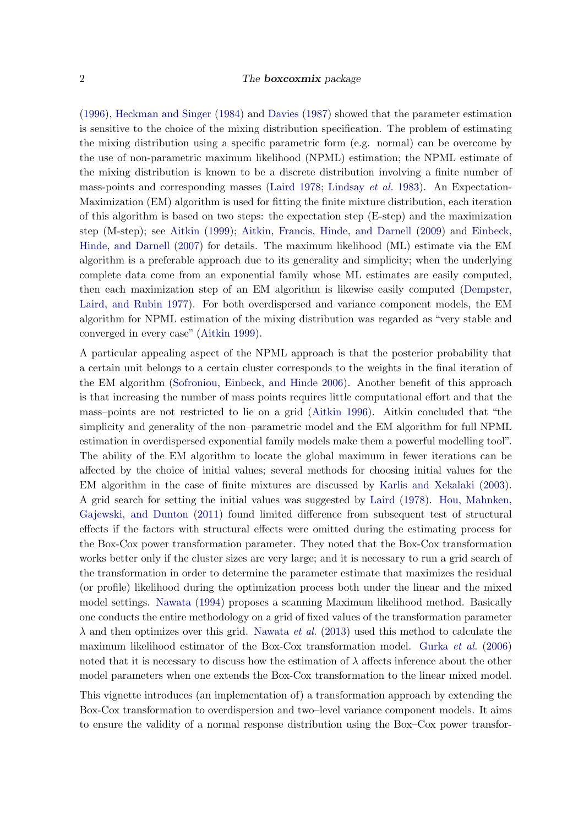[\(1996\)](#page-17-2), [Heckman and Singer](#page-18-3) [\(1984\)](#page-18-3) and [Davies](#page-17-3) [\(1987\)](#page-17-3) showed that the parameter estimation is sensitive to the choice of the mixing distribution specification. The problem of estimating the mixing distribution using a specific parametric form (e.g. normal) can be overcome by the use of non-parametric maximum likelihood (NPML) estimation; the NPML estimate of the mixing distribution is known to be a discrete distribution involving a finite number of mass-points and corresponding masses [\(Laird](#page-18-4) [1978;](#page-18-4) [Lindsay](#page-18-5) et al. [1983\)](#page-18-5). An Expectation-Maximization (EM) algorithm is used for fitting the finite mixture distribution, each iteration of this algorithm is based on two steps: the expectation step (E-step) and the maximization step (M-step); see [Aitkin](#page-17-4) [\(1999\)](#page-17-4); [Aitkin, Francis, Hinde, and Darnell](#page-17-5) [\(2009\)](#page-17-5) and [Einbeck,](#page-17-6) [Hinde, and Darnell](#page-17-6) [\(2007\)](#page-17-6) for details. The maximum likelihood (ML) estimate via the EM algorithm is a preferable approach due to its generality and simplicity; when the underlying complete data come from an exponential family whose ML estimates are easily computed, then each maximization step of an EM algorithm is likewise easily computed [\(Dempster,](#page-17-7) [Laird, and Rubin](#page-17-7) [1977\)](#page-17-7). For both overdispersed and variance component models, the EM algorithm for NPML estimation of the mixing distribution was regarded as "very stable and converged in every case" [\(Aitkin](#page-17-4) [1999\)](#page-17-4).

A particular appealing aspect of the NPML approach is that the posterior probability that a certain unit belongs to a certain cluster corresponds to the weights in the final iteration of the EM algorithm [\(Sofroniou, Einbeck, and Hinde](#page-18-6) [2006\)](#page-18-6). Another benefit of this approach is that increasing the number of mass points requires little computational effort and that the mass–points are not restricted to lie on a grid [\(Aitkin](#page-17-2) [1996\)](#page-17-2). Aitkin concluded that "the simplicity and generality of the non–parametric model and the EM algorithm for full NPML estimation in overdispersed exponential family models make them a powerful modelling tool". The ability of the EM algorithm to locate the global maximum in fewer iterations can be affected by the choice of initial values; several methods for choosing initial values for the EM algorithm in the case of finite mixtures are discussed by [Karlis and Xekalaki](#page-18-7) [\(2003\)](#page-18-7). A grid search for setting the initial values was suggested by [Laird](#page-18-4) [\(1978\)](#page-18-4). [Hou, Mahnken,](#page-18-8) [Gajewski, and Dunton](#page-18-8) [\(2011\)](#page-18-8) found limited difference from subsequent test of structural effects if the factors with structural effects were omitted during the estimating process for the Box-Cox power transformation parameter. They noted that the Box-Cox transformation works better only if the cluster sizes are very large; and it is necessary to run a grid search of the transformation in order to determine the parameter estimate that maximizes the residual (or profile) likelihood during the optimization process both under the linear and the mixed model settings. [Nawata](#page-18-9) [\(1994\)](#page-18-9) proposes a scanning Maximum likelihood method. Basically one conducts the entire methodology on a grid of fixed values of the transformation parameter  $\lambda$  and then optimizes over this grid. [Nawata](#page-18-10) *et al.* [\(2013\)](#page-18-10) used this method to calculate the maximum likelihood estimator of the Box-Cox transformation model. [Gurka](#page-18-2) et al. [\(2006\)](#page-18-2) noted that it is necessary to discuss how the estimation of  $\lambda$  affects inference about the other model parameters when one extends the Box-Cox transformation to the linear mixed model.

This vignette introduces (an implementation of) a transformation approach by extending the Box-Cox transformation to overdispersion and two–level variance component models. It aims to ensure the validity of a normal response distribution using the Box–Cox power transfor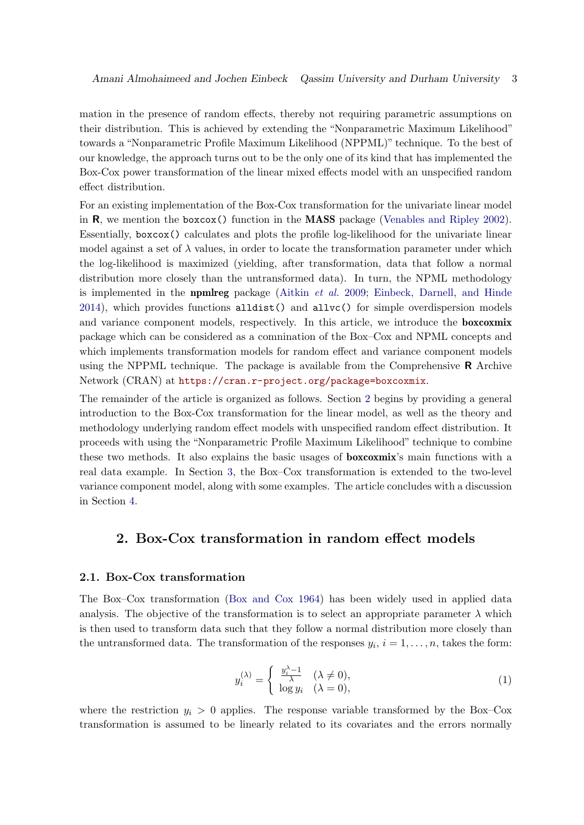mation in the presence of random effects, thereby not requiring parametric assumptions on their distribution. This is achieved by extending the "Nonparametric Maximum Likelihood" towards a "Nonparametric Profile Maximum Likelihood (NPPML)" technique. To the best of our knowledge, the approach turns out to be the only one of its kind that has implemented the Box-Cox power transformation of the linear mixed effects model with an unspecified random effect distribution.

For an existing implementation of the Box-Cox transformation for the univariate linear model in R, we mention the boxcox() function in the MASS package [\(Venables and Ripley](#page-19-0) [2002\)](#page-19-0). Essentially, boxcox() calculates and plots the profile log-likelihood for the univariate linear model against a set of  $\lambda$  values, in order to locate the transformation parameter under which the log-likelihood is maximized (yielding, after transformation, data that follow a normal distribution more closely than the untransformed data). In turn, the NPML methodology is implemented in the **npmlreg** package [\(Aitkin](#page-17-5)  $et \ al.$  [2009;](#page-17-5) [Einbeck, Darnell, and Hinde](#page-17-8)  $2014$ ), which provides functions alldist() and allvc() for simple overdispersion models and variance component models, respectively. In this article, we introduce the **boxcoxmix** package which can be considered as a comnination of the Box–Cox and NPML concepts and which implements transformation models for random effect and variance component models using the NPPML technique. The package is available from the Comprehensive  $\bf{R}$  Archive Network (CRAN) at <https://cran.r-project.org/package=boxcoxmix>.

The remainder of the article is organized as follows. Section [2](#page-2-0) begins by providing a general introduction to the Box-Cox transformation for the linear model, as well as the theory and methodology underlying random effect models with unspecified random effect distribution. It proceeds with using the "Nonparametric Profile Maximum Likelihood" technique to combine these two methods. It also explains the basic usages of boxcoxmix's main functions with a real data example. In Section [3,](#page-11-0) the Box–Cox transformation is extended to the two-level variance component model, along with some examples. The article concludes with a discussion in Section [4.](#page-16-0)

# <span id="page-2-0"></span>2. Box-Cox transformation in random effect models

#### 2.1. Box-Cox transformation

The Box–Cox transformation [\(Box and Cox](#page-17-0) [1964\)](#page-17-0) has been widely used in applied data analysis. The objective of the transformation is to select an appropriate parameter  $\lambda$  which is then used to transform data such that they follow a normal distribution more closely than the untransformed data. The transformation of the responses  $y_i$ ,  $i = 1, \ldots, n$ , takes the form:

$$
y_i^{(\lambda)} = \begin{cases} \frac{y_i^{\lambda} - 1}{\lambda} & (\lambda \neq 0), \\ \log y_i & (\lambda = 0), \end{cases}
$$
 (1)

where the restriction  $y_i > 0$  applies. The response variable transformed by the Box–Cox transformation is assumed to be linearly related to its covariates and the errors normally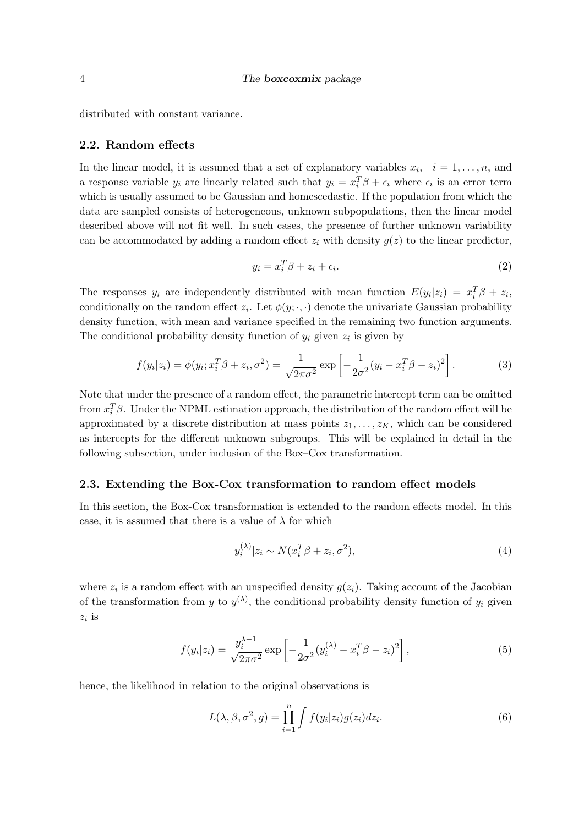distributed with constant variance.

## 2.2. Random effects

In the linear model, it is assumed that a set of explanatory variables  $x_i$ ,  $i = 1, \ldots, n$ , and a response variable  $y_i$  are linearly related such that  $y_i = x_i^T \beta + \epsilon_i$  where  $\epsilon_i$  is an error term which is usually assumed to be Gaussian and homescedastic. If the population from which the data are sampled consists of heterogeneous, unknown subpopulations, then the linear model described above will not fit well. In such cases, the presence of further unknown variability can be accommodated by adding a random effect  $z_i$  with density  $g(z)$  to the linear predictor,

$$
y_i = x_i^T \beta + z_i + \epsilon_i. \tag{2}
$$

The responses  $y_i$  are independently distributed with mean function  $E(y_i|z_i) = x_i^T \beta + z_i$ , conditionally on the random effect  $z_i$ . Let  $\phi(y; \cdot, \cdot)$  denote the univariate Gaussian probability density function, with mean and variance specified in the remaining two function arguments. The conditional probability density function of  $y_i$  given  $z_i$  is given by

$$
f(y_i|z_i) = \phi(y_i; x_i^T \beta + z_i, \sigma^2) = \frac{1}{\sqrt{2\pi\sigma^2}} \exp\left[-\frac{1}{2\sigma^2}(y_i - x_i^T \beta - z_i)^2\right].
$$
 (3)

Note that under the presence of a random effect, the parametric intercept term can be omitted from  $x_i^T \beta$ . Under the NPML estimation approach, the distribution of the random effect will be approximated by a discrete distribution at mass points  $z_1, \ldots, z_K$ , which can be considered as intercepts for the different unknown subgroups. This will be explained in detail in the following subsection, under inclusion of the Box–Cox transformation.

#### 2.3. Extending the Box-Cox transformation to random effect models

In this section, the Box-Cox transformation is extended to the random effects model. In this case, it is assumed that there is a value of  $\lambda$  for which

$$
y_i^{(\lambda)}|z_i \sim N(x_i^T \beta + z_i, \sigma^2), \tag{4}
$$

where  $z_i$  is a random effect with an unspecified density  $g(z_i)$ . Taking account of the Jacobian of the transformation from y to  $y^{(\lambda)}$ , the conditional probability density function of  $y_i$  given  $z_i$  is

<span id="page-3-0"></span>
$$
f(y_i|z_i) = \frac{y_i^{\lambda - 1}}{\sqrt{2\pi\sigma^2}} \exp\left[-\frac{1}{2\sigma^2}(y_i^{(\lambda)} - x_i^T \beta - z_i)^2\right],\tag{5}
$$

hence, the likelihood in relation to the original observations is

<span id="page-3-1"></span>
$$
L(\lambda, \beta, \sigma^2, g) = \prod_{i=1}^n \int f(y_i|z_i)g(z_i)dz_i.
$$
 (6)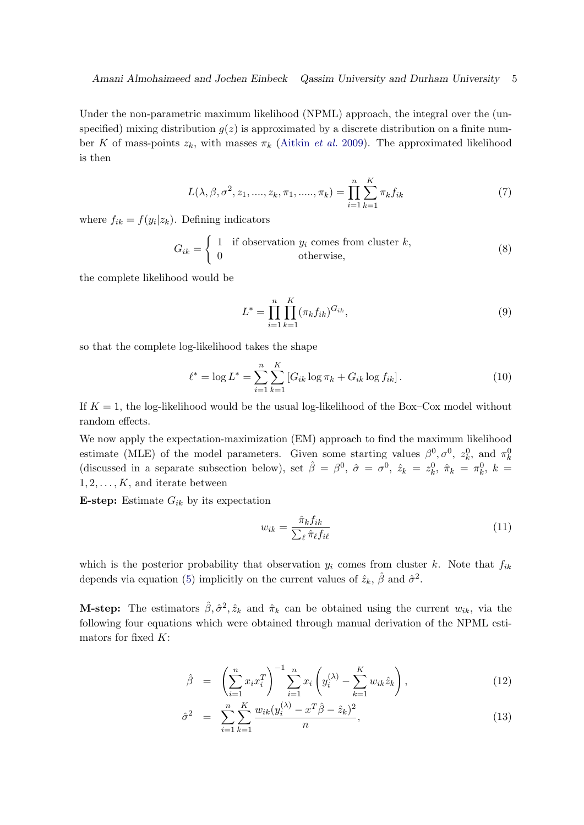Under the non-parametric maximum likelihood (NPML) approach, the integral over the (unspecified) mixing distribution  $g(z)$  is approximated by a discrete distribution on a finite number K of mass-points  $z_k$ , with masses  $\pi_k$  [\(Aitkin](#page-17-5) *et al.* [2009\)](#page-17-5). The approximated likelihood is then

<span id="page-4-3"></span>
$$
L(\lambda, \beta, \sigma^2, z_1, \dots, z_k, \pi_1, \dots, \pi_k) = \prod_{i=1}^n \sum_{k=1}^K \pi_k f_{ik}
$$
 (7)

where  $f_{ik} = f(y_i|z_k)$ . Defining indicators

$$
G_{ik} = \begin{cases} 1 & \text{if observation } y_i \text{ comes from cluster } k, \\ 0 & \text{otherwise,} \end{cases}
$$
 (8)

the complete likelihood would be

$$
L^* = \prod_{i=1}^n \prod_{k=1}^K (\pi_k f_{ik})^{G_{ik}},
$$
\n(9)

so that the complete log-likelihood takes the shape

<span id="page-4-0"></span>
$$
\ell^* = \log L^* = \sum_{i=1}^n \sum_{k=1}^K \left[ G_{ik} \log \pi_k + G_{ik} \log f_{ik} \right]. \tag{10}
$$

If  $K = 1$ , the log-likelihood would be the usual log-likelihood of the Box–Cox model without random effects.

We now apply the expectation-maximization (EM) approach to find the maximum likelihood estimate (MLE) of the model parameters. Given some starting values  $\beta^0, \sigma^0, z_k^0$ , and  $\pi_k^0$ (discussed in a separate subsection below), set  $\hat{\beta} = \beta^0$ ,  $\hat{\sigma} = \sigma^0$ ,  $\hat{z}_k = z_k^0$ ,  $\hat{\pi}_k = \pi_k^0$ ,  $k =$  $1, 2, \ldots, K$ , and iterate between

E-step: Estimate  $G_{ik}$  by its expectation

<span id="page-4-2"></span>
$$
w_{ik} = \frac{\hat{\pi}_k f_{ik}}{\sum_{\ell} \hat{\pi}_{\ell} f_{i\ell}} \tag{11}
$$

which is the posterior probability that observation  $y_i$  comes from cluster k. Note that  $f_{ik}$ depends via equation [\(5\)](#page-3-0) implicitly on the current values of  $\hat{z}_k$ ,  $\hat{\beta}$  and  $\hat{\sigma}^2$ .

**M-step:** The estimators  $\hat{\beta}, \hat{\sigma}^2, \hat{z}_k$  and  $\hat{\pi}_k$  can be obtained using the current  $w_{ik}$ , via the following four equations which were obtained through manual derivation of the NPML estimators for fixed  $K$ :

<span id="page-4-1"></span>
$$
\hat{\beta} = \left(\sum_{i=1}^{n} x_i x_i^T\right)^{-1} \sum_{i=1}^{n} x_i \left(y_i^{(\lambda)} - \sum_{k=1}^{K} w_{ik} \hat{z}_k\right), \tag{12}
$$

$$
\hat{\sigma}^2 = \sum_{i=1}^n \sum_{k=1}^K \frac{w_{ik}(y_i^{(\lambda)} - x^T \hat{\beta} - \hat{z}_k)^2}{n},
$$
\n(13)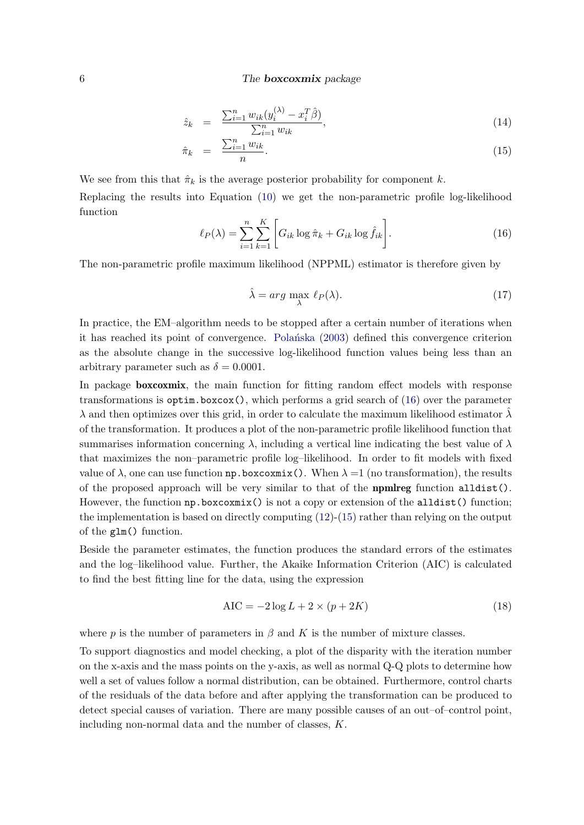$$
\hat{z}_k = \frac{\sum_{i=1}^n w_{ik} (y_i^{(\lambda)} - x_i^T \hat{\beta})}{\sum_{i=1}^n w_{ik}},
$$
\n(14)

$$
\hat{\pi}_k = \frac{\sum_{i=1}^n w_{ik}}{n}.\tag{15}
$$

We see from this that  $\hat{\pi}_k$  is the average posterior probability for component k.

Replacing the results into Equation [\(10\)](#page-4-0) we get the non-parametric profile log-likelihood function

<span id="page-5-0"></span>
$$
\ell_P(\lambda) = \sum_{i=1}^n \sum_{k=1}^K \left[ G_{ik} \log \hat{\pi}_k + G_{ik} \log \hat{f}_{ik} \right]. \tag{16}
$$

The non-parametric profile maximum likelihood (NPPML) estimator is therefore given by

$$
\hat{\lambda} = \arg \max_{\lambda} \ell_P(\lambda). \tag{17}
$$

In practice, the EM–algorithm needs to be stopped after a certain number of iterations when it has reached its point of convergence. Polantiska [\(2003\)](#page-18-11) defined this convergence criterion as the absolute change in the successive log-likelihood function values being less than an arbitrary parameter such as  $\delta = 0.0001$ .

In package **boxcoxmix**, the main function for fitting random effect models with response transformations is  $optim.boxcox()$ , which performs a grid search of  $(16)$  over the parameter  $\lambda$  and then optimizes over this grid, in order to calculate the maximum likelihood estimator  $\lambda$ of the transformation. It produces a plot of the non-parametric profile likelihood function that summarises information concerning  $\lambda$ , including a vertical line indicating the best value of  $\lambda$ that maximizes the non–parametric profile log–likelihood. In order to fit models with fixed value of  $\lambda$ , one can use function np.boxcoxmix(). When  $\lambda =1$  (no transformation), the results of the proposed approach will be very similar to that of the **npmlreg** function  $alldist()$ . However, the function  $np.$ boxcoxmix() is not a copy or extension of the alldist() function; the implementation is based on directly computing [\(12\)](#page-4-1)-[\(15\)](#page-4-1) rather than relying on the output of the glm() function.

Beside the parameter estimates, the function produces the standard errors of the estimates and the log–likelihood value. Further, the Akaike Information Criterion (AIC) is calculated to find the best fitting line for the data, using the expression

<span id="page-5-1"></span>
$$
AIC = -2\log L + 2 \times (p + 2K) \tag{18}
$$

where p is the number of parameters in  $\beta$  and K is the number of mixture classes.

To support diagnostics and model checking, a plot of the disparity with the iteration number on the x-axis and the mass points on the y-axis, as well as normal Q-Q plots to determine how well a set of values follow a normal distribution, can be obtained. Furthermore, control charts of the residuals of the data before and after applying the transformation can be produced to detect special causes of variation. There are many possible causes of an out–of–control point, including non-normal data and the number of classes, K.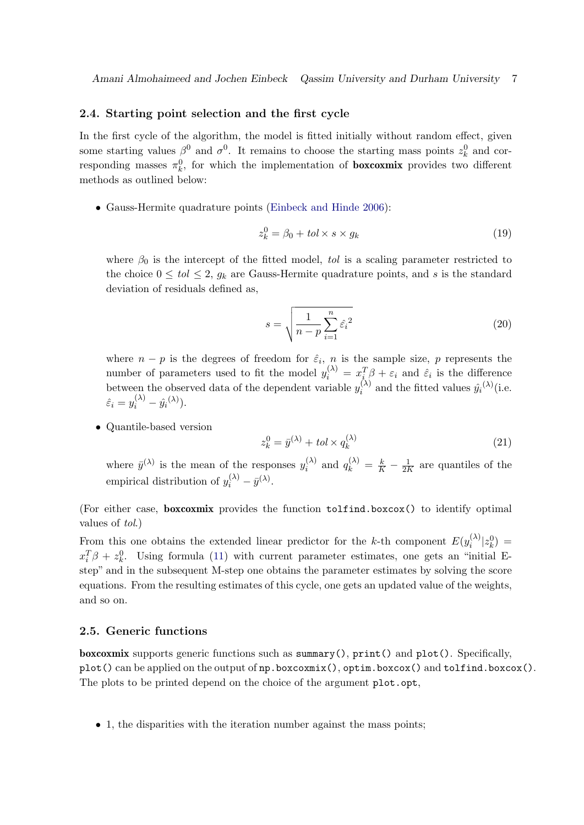#### 2.4. Starting point selection and the first cycle

In the first cycle of the algorithm, the model is fitted initially without random effect, given some starting values  $\beta^0$  and  $\sigma^0$ . It remains to choose the starting mass points  $z_k^0$  and corresponding masses  $\pi_k^0$ , for which the implementation of **boxcoxmix** provides two different methods as outlined below:

• Gauss-Hermite quadrature points [\(Einbeck and Hinde](#page-17-9) [2006\)](#page-17-9):

$$
z_k^0 = \beta_0 + tol \times s \times g_k \tag{19}
$$

where  $\beta_0$  is the intercept of the fitted model, tol is a scaling parameter restricted to the choice  $0 \leq tol \leq 2$ ,  $q_k$  are Gauss-Hermite quadrature points, and s is the standard deviation of residuals defined as,

$$
s = \sqrt{\frac{1}{n-p} \sum_{i=1}^{n} \hat{\varepsilon}_i^2}
$$
 (20)

where  $n - p$  is the degrees of freedom for  $\hat{\varepsilon}_i$ , n is the sample size, p represents the number of parameters used to fit the model  $y_i^{(\lambda)} = x_{i}^T \beta + \varepsilon_i$  and  $\hat{\varepsilon}_i$  is the difference between the observed data of the dependent variable  $y_i^{(\lambda)}$  $\hat{y}_i^{(\lambda)}$  and the fitted values  $\hat{y}_i^{(\lambda)}$  (i.e.  $\hat{\varepsilon}_i = y_i^{(\lambda)} - \hat{y}_i^{(\lambda)}$ .

• Quantile-based version

$$
z_k^0 = \bar{y}^{(\lambda)} + tol \times q_k^{(\lambda)} \tag{21}
$$

where  $\bar{y}^{(\lambda)}$  is the mean of the responses  $y_i^{(\lambda)}$  $i^{(\lambda)}$  and  $q_k^{(\lambda)} = \frac{k}{K} - \frac{1}{2R}$  $\frac{1}{2K}$  are quantiles of the empirical distribution of  $y_i^{(\lambda)} - \bar{y}^{(\lambda)}$ .

(For either case, boxcoxmix provides the function tolfind.boxcox() to identify optimal values of tol.)

From this one obtains the extended linear predictor for the k-th component  $E(y_i^{(\lambda)})$  $|z_k^{(\lambda)}|z_k^0\rangle =$  $x_i^T \beta + z_k^0$ . Using formula [\(11\)](#page-4-2) with current parameter estimates, one gets an "initial Estep" and in the subsequent M-step one obtains the parameter estimates by solving the score equations. From the resulting estimates of this cycle, one gets an updated value of the weights, and so on.

## 2.5. Generic functions

boxcoxmix supports generic functions such as summary(), print() and plot(). Specifically, plot() can be applied on the output of np.boxcoxmix(), optim.boxcox() and tolfind.boxcox(). The plots to be printed depend on the choice of the argument plot.opt,

• 1, the disparities with the iteration number against the mass points;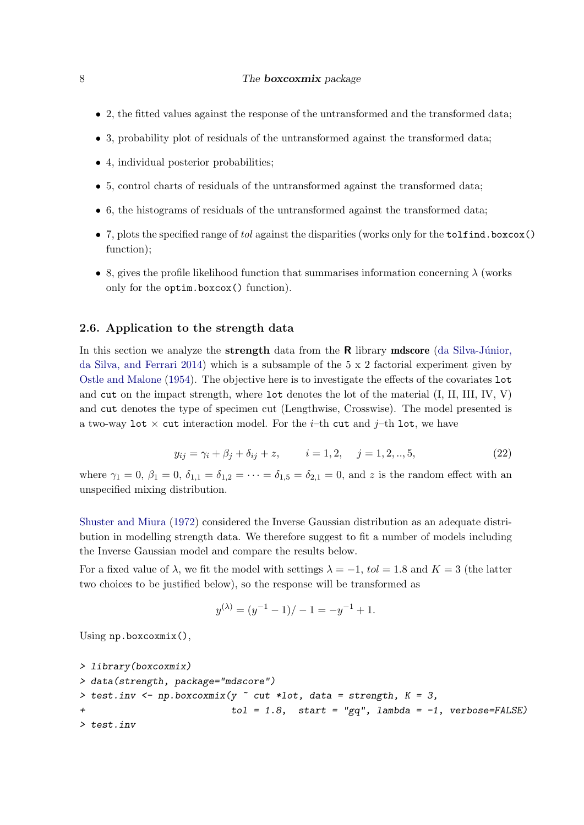- 2, the fitted values against the response of the untransformed and the transformed data;
- 3, probability plot of residuals of the untransformed against the transformed data;
- 4, individual posterior probabilities;
- 5, control charts of residuals of the untransformed against the transformed data;
- 6, the histograms of residuals of the untransformed against the transformed data;
- 7, plots the specified range of tol against the disparities (works only for the tolfind.boxcox() function);
- 8, gives the profile likelihood function that summarises information concerning  $\lambda$  (works only for the optim.boxcox() function).

#### 2.6. Application to the strength data

In this section we analyze the **strength** data from the  $\bf{R}$  library **mdscore** (da Silva-Júnior, [da Silva, and Ferrari](#page-17-10) [2014\)](#page-17-10) which is a subsample of the 5 x 2 factorial experiment given by [Ostle and Malone](#page-18-12) [\(1954\)](#page-18-12). The objective here is to investigate the effects of the covariates lot and cut on the impact strength, where lot denotes the lot of the material (I, II, III, IV, V) and cut denotes the type of specimen cut (Lengthwise, Crosswise). The model presented is a two-way lot  $\times$  cut interaction model. For the *i*-th cut and *j*-th lot, we have

<span id="page-7-0"></span>
$$
y_{ij} = \gamma_i + \beta_j + \delta_{ij} + z, \qquad i = 1, 2, \quad j = 1, 2, ..., 5,
$$
 (22)

where  $\gamma_1 = 0$ ,  $\beta_1 = 0$ ,  $\delta_{1,1} = \delta_{1,2} = \cdots = \delta_{1,5} = \delta_{2,1} = 0$ , and z is the random effect with an unspecified mixing distribution.

[Shuster and Miura](#page-18-13) [\(1972\)](#page-18-13) considered the Inverse Gaussian distribution as an adequate distribution in modelling strength data. We therefore suggest to fit a number of models including the Inverse Gaussian model and compare the results below.

For a fixed value of  $\lambda$ , we fit the model with settings  $\lambda = -1$ , tol = 1.8 and K = 3 (the latter two choices to be justified below), so the response will be transformed as

$$
y^{(\lambda)} = (y^{-1} - 1) / - 1 = -y^{-1} + 1.
$$

Using np.boxcoxmix(),

```
> library(boxcoxmix)
> data(strength, package="mdscore")
> test.inv <- np.boxcoxmix(y \tilde{ } cut *lot, data = strength, K = 3,
+ tol = 1.8, start = "gq", lambda = -1, verbose=FALSE)
> test.inv
```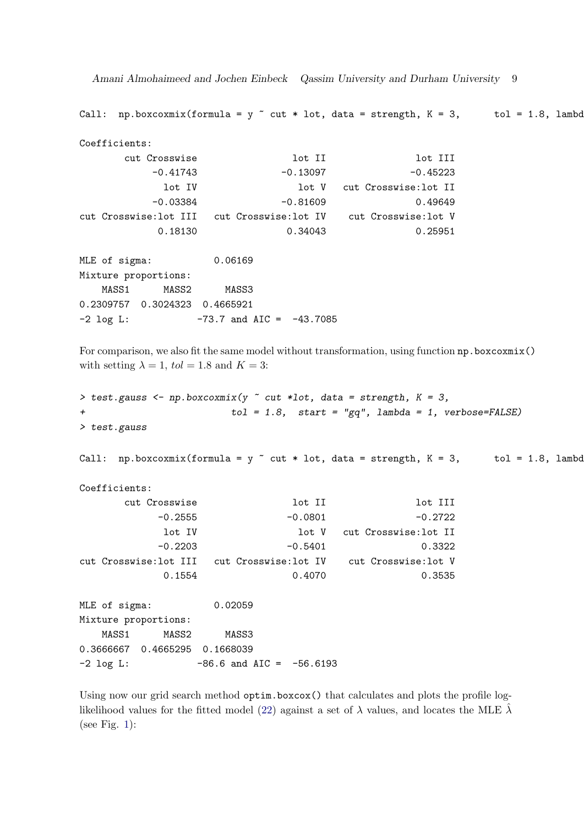Amani Almohaimeed and Jochen Einbeck Qassim University and Durham University 9

Call: np.boxcoxmix(formula = y  $\tilde{ }$  cut \* lot, data = strength, K = 3, tol = 1.8, lambd

```
Coefficients:
     cut Crosswise lot II lot III
        -0.41743 -0.13097 -0.45223lot IV lot V cut Crosswise:lot II
        -0.03384 -0.81609 0.49649
cut Crosswise:lot III cut Crosswise:lot IV cut Crosswise:lot V
        0.18130 0.34043 0.25951
MLE of sigma: 0.06169
Mixture proportions:
```
MASS1 MASS2 MASS3 0.2309757 0.3024323 0.4665921  $-2 \text{ log L}:$   $-73.7 \text{ and AIC} = -43.7085$ 

For comparison, we also fit the same model without transformation, using function  $np$  boxcoxmix() with setting  $\lambda = 1$ ,  $tol = 1.8$  and  $K = 3$ :

```
> test.gauss <- np.boxcoxmix(y \tilde{ } cut *lot, data = strength, K = 3,
                            tol = 1.8, start = "gq", lambda = 1, verbose=FALSE)
> test.gauss
```
Call: np.boxcoxmix(formula = y  $\tilde{ }$  cut \* lot, data = strength, K = 3, tol = 1.8, lambd

Coefficients:

| cut Crosswise        | lot II                                       | lot III              |
|----------------------|----------------------------------------------|----------------------|
| $-0.2555$            | $-0.0801$                                    | $-0.2722$            |
| lot IV               | lot V                                        | cut Crosswise:lot II |
| $-0.2203$            | $-0.5401$                                    | 0.3322               |
|                      | cut Crosswise:lot III - cut Crosswise:lot IV | cut Crosswise:lot V  |
| 0.1554               | 0.4070                                       | 0.3535               |
|                      |                                              |                      |
| MLE of sigma:        | 0.02059                                      |                      |
| Mixture proportions: |                                              |                      |
| MASS1<br>MASS2       | MASS3                                        |                      |
|                      |                                              |                      |

0.3666667 0.4665295 0.1668039  $-2 \text{ log L}:$   $-86.6 \text{ and AIC} = -56.6193$ 

Using now our grid search method optim.boxcox() that calculates and plots the profile log-likelihood values for the fitted model [\(22\)](#page-7-0) against a set of  $\lambda$  values, and locates the MLE  $\lambda$ (see Fig. [1\)](#page-9-0):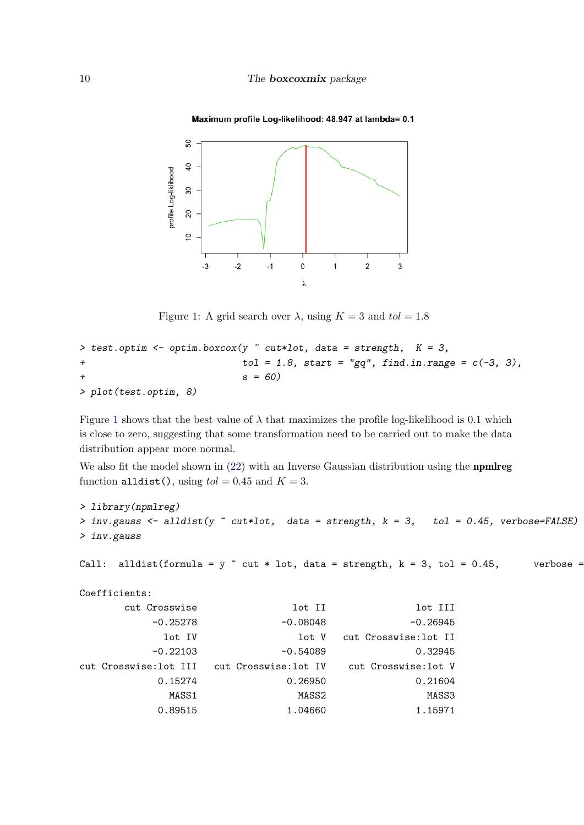

#### Maximum profile Log-likelihood: 48.947 at lambda= 0.1

<span id="page-9-0"></span>Figure 1: A grid search over  $\lambda$ , using  $K = 3$  and  $tol = 1.8$ 

```
> test.optim <- optim.boxcox(y \tilde{c} cut*lot, data = strength, K = 3,
+ tol = 1.8, start = "gq", find.in.range = c(-3, 3),
                         s = 60> plot(test.optim, 8)
```
Figure [1](#page-9-0) shows that the best value of  $\lambda$  that maximizes the profile log-likelihood is 0.1 which is close to zero, suggesting that some transformation need to be carried out to make the data distribution appear more normal.

We also fit the model shown in [\(22\)](#page-7-0) with an Inverse Gaussian distribution using the **npmlreg** function alldist(), using  $tol = 0.45$  and  $K = 3$ .

```
> library(npmlreg)
> inv.gauss \le alldist(y \sim cut*lot, data = strength, k = 3, tol = 0.45, verbose=FALSE)
> inv.gauss
Call: alldist(formula = y \tilde{ } cut * lot, data = strength, k = 3, tol = 0.45, verbose =
Coefficients:
      cut Crosswise lot II lot III
         -0.25278 -0.08048 -0.26945
           lot IV 10t V cut Crosswise: lot II
         -0.22103 -0.54089 0.32945
cut Crosswise:lot III cut Crosswise:lot IV cut Crosswise:lot V
          0.15274 0.26950 0.21604
            MASS1 MASS2 MASS3
```
0.89515 1.04660 1.15971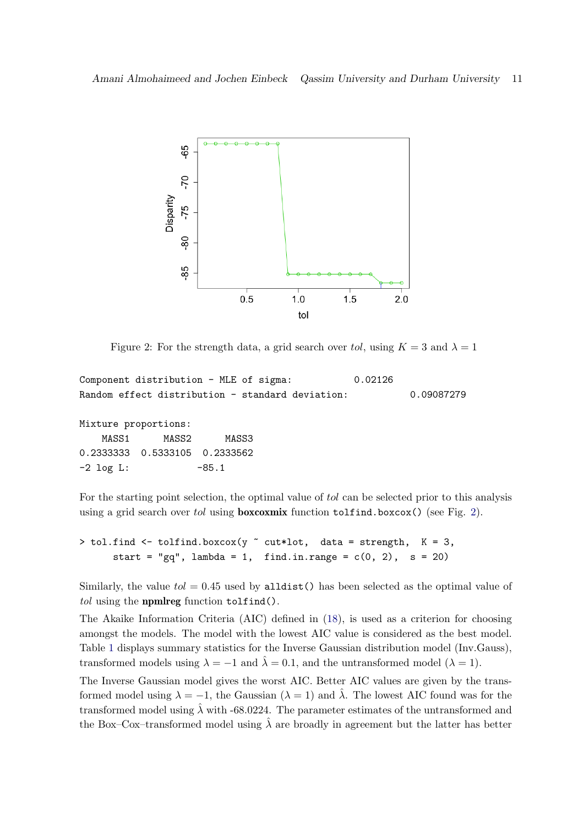

<span id="page-10-0"></span>Figure 2: For the strength data, a grid search over tol, using  $K = 3$  and  $\lambda = 1$ 

```
Component distribution - MLE of sigma: 0.02126
Random effect distribution - standard deviation: 0.09087279
```
Mixture proportions: MASS1 MASS2 MASS3 0.2333333 0.5333105 0.2333562  $-2 \text{ log L}: 50.1$ 

For the starting point selection, the optimal value of tol can be selected prior to this analysis using a grid search over tol using **boxcoxmix** function  $\text{to1find}$ .boxcox() (see Fig. [2\)](#page-10-0).

```
> tol.find <- tolfind.boxcox(y \tilde{C} cut*lot, data = strength, K = 3,
      start = "gq", lambda = 1, find.in.range = c(0, 2), s = 20)
```
Similarly, the value  $tol = 0.45$  used by alldist() has been selected as the optimal value of tol using the **npmlreg** function tolfind().

The Akaike Information Criteria (AIC) defined in [\(18\)](#page-5-1), is used as a criterion for choosing amongst the models. The model with the lowest AIC value is considered as the best model. Table [1](#page-11-1) displays summary statistics for the Inverse Gaussian distribution model (Inv.Gauss), transformed models using  $\lambda = -1$  and  $\hat{\lambda} = 0.1$ , and the untransformed model ( $\lambda = 1$ ).

The Inverse Gaussian model gives the worst AIC. Better AIC values are given by the transformed model using  $\lambda = -1$ , the Gaussian  $(\lambda = 1)$  and  $\hat{\lambda}$ . The lowest AIC found was for the transformed model using  $\hat{\lambda}$  with -68.0224. The parameter estimates of the untransformed and the Box–Cox–transformed model using  $\hat{\lambda}$  are broadly in agreement but the latter has better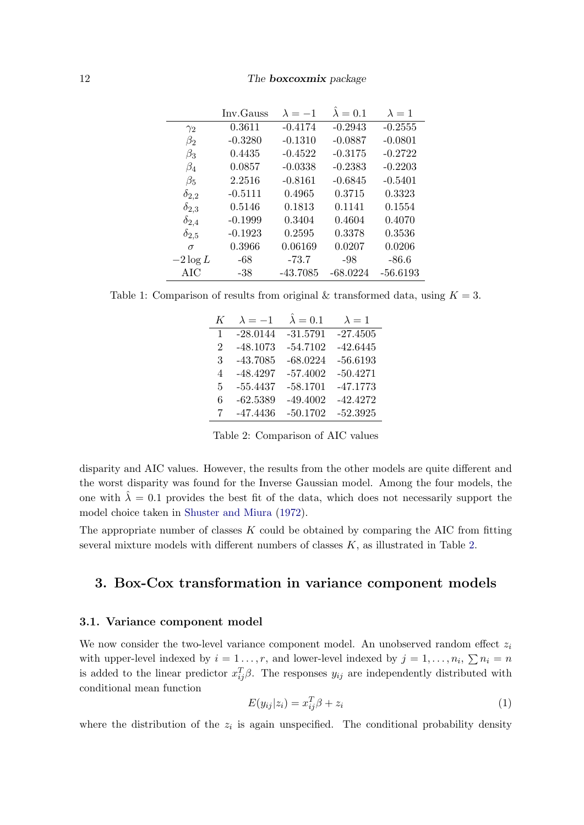|                | Inv. Gauss | $\lambda = -1$ | $\lambda = 0.1$ | $\lambda = 1$ |
|----------------|------------|----------------|-----------------|---------------|
| $\gamma_2$     | 0.3611     | $-0.4174$      | $-0.2943$       | $-0.2555$     |
| $\beta_2$      | $-0.3280$  | $-0.1310$      | $-0.0887$       | $-0.0801$     |
| $\beta_3$      | 0.4435     | $-0.4522$      | $-0.3175$       | $-0.2722$     |
| $\beta_4$      | 0.0857     | $-0.0338$      | $-0.2383$       | $-0.2203$     |
| $\beta_5$      | 2.2516     | $-0.8161$      | $-0.6845$       | $-0.5401$     |
| $\delta_{2,2}$ | $-0.5111$  | 0.4965         | 0.3715          | 0.3323        |
| $\delta_{2,3}$ | 0.5146     | 0.1813         | 0.1141          | 0.1554        |
| $\delta_{2,4}$ | $-0.1999$  | 0.3404         | 0.4604          | 0.4070        |
| $\delta_{2,5}$ | $-0.1923$  | 0.2595         | 0.3378          | 0.3536        |
| $\sigma$       | 0.3966     | 0.06169        | 0.0207          | 0.0206        |
| $-2\log L$     | -68        | $-73.7$        | -98             | $-86.6$       |
| AIC            | $-38$      | $-43.7085$     | $-68.0224$      | $-56.6193$    |

<span id="page-11-1"></span>Table 1: Comparison of results from original & transformed data, using  $K = 3$ .

| K              | $\lambda = -1$ | $\lambda = 0.1$ | $\lambda = 1$ |
|----------------|----------------|-----------------|---------------|
| 1              | $-28.0144$     | $-31.5791$      | $-27.4505$    |
| $\overline{2}$ | $-48.1073$     | $-54.7102$      | $-42.6445$    |
| 3              | $-43.7085$     | $-68.0224$      | $-56.6193$    |
| 4              | $-48.4297$     | $-57.4002$      | $-50.4271$    |
| 5              | $-55.4437$     | $-58.1701$      | $-47.1773$    |
| 6              | $-62.5389$     | $-49.4002$      | $-42.4272$    |
| 7              | $-47.4436$     | $-50.1702$      | $-52.3925$    |

<span id="page-11-2"></span>Table 2: Comparison of AIC values

disparity and AIC values. However, the results from the other models are quite different and the worst disparity was found for the Inverse Gaussian model. Among the four models, the one with  $\lambda = 0.1$  provides the best fit of the data, which does not necessarily support the model choice taken in [Shuster and Miura](#page-18-13) [\(1972\)](#page-18-13).

The appropriate number of classes  $K$  could be obtained by comparing the AIC from fitting several mixture models with different numbers of classes  $K$ , as illustrated in Table [2.](#page-11-2)

## <span id="page-11-0"></span>3. Box-Cox transformation in variance component models

#### 3.1. Variance component model

We now consider the two-level variance component model. An unobserved random effect  $z_i$ with upper-level indexed by  $i = 1 \ldots, r$ , and lower-level indexed by  $j = 1, \ldots, n_i$ ,  $\sum n_i = n$ is added to the linear predictor  $x_{ij}^T \beta$ . The responses  $y_{ij}$  are independently distributed with conditional mean function

$$
E(y_{ij}|z_i) = x_{ij}^T \beta + z_i \tag{1}
$$

where the distribution of the  $z_i$  is again unspecified. The conditional probability density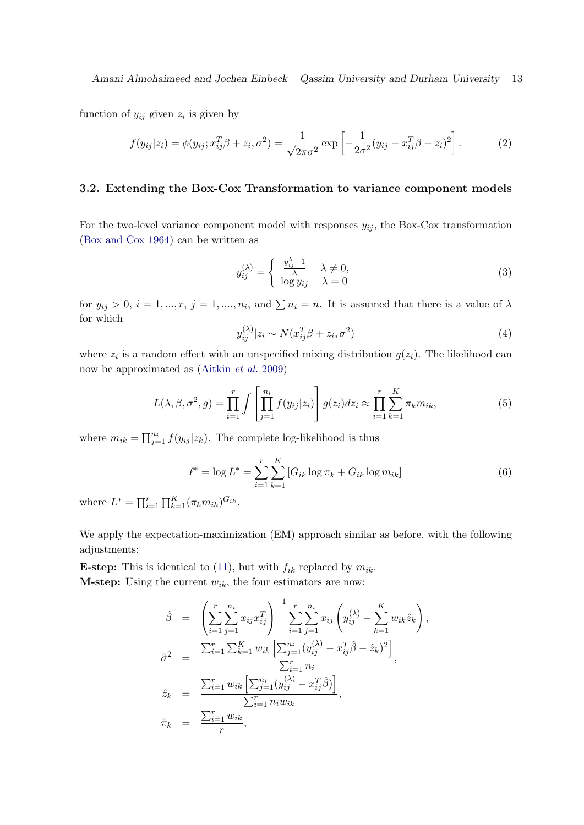function of  $y_{ij}$  given  $z_i$  is given by

$$
f(y_{ij}|z_i) = \phi(y_{ij}; x_{ij}^T \beta + z_i, \sigma^2) = \frac{1}{\sqrt{2\pi\sigma^2}} \exp\left[-\frac{1}{2\sigma^2}(y_{ij} - x_{ij}^T \beta - z_i)^2\right].
$$
 (2)

## 3.2. Extending the Box-Cox Transformation to variance component models

For the two-level variance component model with responses  $y_{ij}$ , the Box-Cox transformation [\(Box and Cox](#page-17-0) [1964\)](#page-17-0) can be written as

$$
y_{ij}^{(\lambda)} = \begin{cases} \frac{y_{ij}^{\lambda} - 1}{\lambda} & \lambda \neq 0, \\ \log y_{ij} & \lambda = 0 \end{cases}
$$
 (3)

for  $y_{ij} > 0$ ,  $i = 1, ..., r$ ,  $j = 1, ..., n_i$ , and  $\sum n_i = n$ . It is assumed that there is a value of  $\lambda$ for which

$$
y_{ij}^{(\lambda)}|z_i \sim N(x_{ij}^T \beta + z_i, \sigma^2)
$$
\n<sup>(4)</sup>

where  $z_i$  is a random effect with an unspecified mixing distribution  $g(z_i)$ . The likelihood can now be approximated as [\(Aitkin](#page-17-5) et al. [2009\)](#page-17-5)

$$
L(\lambda, \beta, \sigma^2, g) = \prod_{i=1}^r \int \left[ \prod_{j=1}^{n_i} f(y_{ij}|z_i) \right] g(z_i) dz_i \approx \prod_{i=1}^r \sum_{k=1}^K \pi_k m_{ik}, \tag{5}
$$

where  $m_{ik} = \prod_{j=1}^{n_i} f(y_{ij} | z_k)$ . The complete log-likelihood is thus

<span id="page-12-0"></span>
$$
\ell^* = \log L^* = \sum_{i=1}^r \sum_{k=1}^K [G_{ik} \log \pi_k + G_{ik} \log m_{ik}] \tag{6}
$$

where  $L^* = \prod_{i=1}^r \prod_{k=1}^K (\pi_k m_{ik})^{G_{ik}}$ .

We apply the expectation-maximization (EM) approach similar as before, with the following adjustments:

**E-step:** This is identical to [\(11\)](#page-4-2), but with  $f_{ik}$  replaced by  $m_{ik}$ . **M-step:** Using the current  $w_{ik}$ , the four estimators are now:

$$
\hat{\beta} = \left( \sum_{i=1}^{r} \sum_{j=1}^{n_i} x_{ij} x_{ij}^T \right)^{-1} \sum_{i=1}^{r} \sum_{j=1}^{n_i} x_{ij} \left( y_{ij}^{(\lambda)} - \sum_{k=1}^{K} w_{ik} \hat{z}_k \right),
$$
  
\n
$$
\hat{\sigma}^2 = \frac{\sum_{i=1}^{r} \sum_{k=1}^{K} w_{ik} \left[ \sum_{j=1}^{n_i} (y_{ij}^{(\lambda)} - x_{ij}^T \hat{\beta} - \hat{z}_k)^2 \right]}{\sum_{i=1}^{r} n_i},
$$
  
\n
$$
\hat{z}_k = \frac{\sum_{i=1}^{r} w_{ik} \left[ \sum_{j=1}^{n_i} (y_{ij}^{(\lambda)} - x_{ij}^T \hat{\beta}) \right]}{\sum_{i=1}^{r} n_i w_{ik}},
$$
  
\n
$$
\hat{\pi}_k = \frac{\sum_{i=1}^{r} w_{ik}}{r},
$$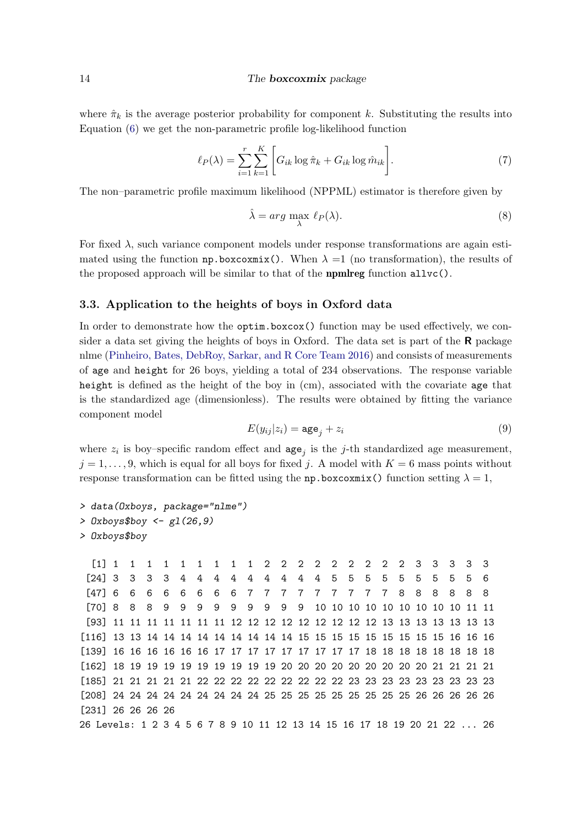where  $\hat{\pi}_k$  is the average posterior probability for component k. Substituting the results into Equation [\(6\)](#page-12-0) we get the non-parametric profile log-likelihood function

$$
\ell_P(\lambda) = \sum_{i=1}^r \sum_{k=1}^K \left[ G_{ik} \log \hat{\pi}_k + G_{ik} \log \hat{m}_{ik} \right]. \tag{7}
$$

The non–parametric profile maximum likelihood (NPPML) estimator is therefore given by

$$
\hat{\lambda} = \arg \max_{\lambda} \ell_P(\lambda). \tag{8}
$$

For fixed  $\lambda$ , such variance component models under response transformations are again estimated using the function  $np.boxcoxmix()$ . When  $\lambda =1$  (no transformation), the results of the proposed approach will be similar to that of the **npmlreg** function  $\text{allvc}()$ .

### 3.3. Application to the heights of boys in Oxford data

In order to demonstrate how the optim.boxcox() function may be used effectively, we consider a data set giving the heights of boys in Oxford. The data set is part of the R package nlme [\(Pinheiro, Bates, DebRoy, Sarkar, and R Core Team](#page-18-14) [2016\)](#page-18-14) and consists of measurements of age and height for 26 boys, yielding a total of 234 observations. The response variable height is defined as the height of the boy in (cm), associated with the covariate age that is the standardized age (dimensionless). The results were obtained by fitting the variance component model

$$
E(y_{ij}|z_i) = \text{age}_j + z_i \tag{9}
$$

where  $z_i$  is boy–specific random effect and  $\text{age}_j$  is the j-th standardized age measurement,  $j = 1, \ldots, 9$ , which is equal for all boys for fixed j. A model with  $K = 6$  mass points without response transformation can be fitted using the np.boxcoxmix() function setting  $\lambda = 1$ ,

```
> data(Oxboys, package="nlme")
> Oxboys$boy <- g1(26, 9)> Oxboys$boy
```
[1] 1 1 1 1 1 1 1 1 1 2 2 2 2 2 2 2 2 2 3 3 3 3 3 [24] 3 3 3 3 4 4 4 4 4 4 4 4 4 5 5 5 5 5 5 5 5 5 6 [47] 6 6 6 6 6 6 6 6 7 7 7 7 7 7 7 7 7 8 8 8 8 8 8 [70] 8 8 8 9 9 9 9 9 9 9 9 9 10 10 10 10 10 10 10 10 10 11 11 [93] 11 11 11 11 11 11 11 12 12 12 12 12 12 12 12 12 13 13 13 13 13 13 13 [116] 13 13 14 14 14 14 14 14 14 14 14 15 15 15 15 15 15 15 15 15 16 16 16 [139] 16 16 16 16 16 16 17 17 17 17 17 17 17 17 17 18 18 18 18 18 18 18 18 [162] 18 19 19 19 19 19 19 19 19 19 20 20 20 20 20 20 20 20 20 21 21 21 21 [185] 21 21 21 21 21 22 22 22 22 22 22 22 22 22 23 23 23 23 23 23 23 23 23 [208] 24 24 24 24 24 24 24 24 24 25 25 25 25 25 25 25 25 25 26 26 26 26 26 [231] 26 26 26 26 26 Levels: 1 2 3 4 5 6 7 8 9 10 11 12 13 14 15 16 17 18 19 20 21 22 ... 26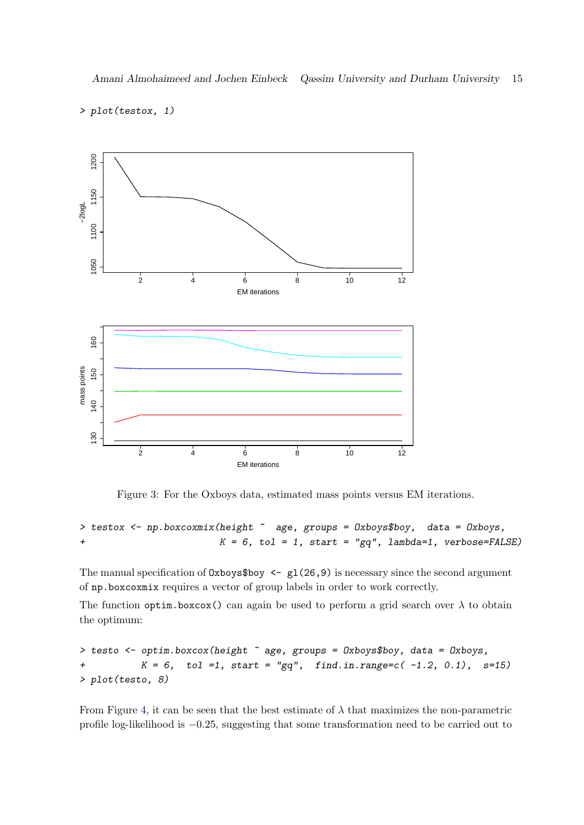## > plot(testox, 1)



<span id="page-14-0"></span>Figure 3: For the Oxboys data, estimated mass points versus EM iterations.

> testox <- np.boxcoxmix(height  $\tilde{ }$  age, groups = 0xboys\$boy, data = 0xboys,  $+$  K = 6, tol = 1, start = "gq", lambda=1, verbose=FALSE)

The manual specification of  $0x$ boys\$boy <- gl(26,9) is necessary since the second argument of np.boxcoxmix requires a vector of group labels in order to work correctly.

The function optim.boxcox() can again be used to perform a grid search over  $\lambda$  to obtain the optimum:

> testo <- optim.boxcox(height ~ age, groups = Oxboys\$boy, data = Oxboys, +  $K = 6$ , tol =1, start = "gq", find.in.range=c(-1.2, 0.1), s=15) > plot(testo, 8)

From Figure [4,](#page-15-0) it can be seen that the best estimate of  $\lambda$  that maximizes the non-parametric profile log-likelihood is −0.25, suggesting that some transformation need to be carried out to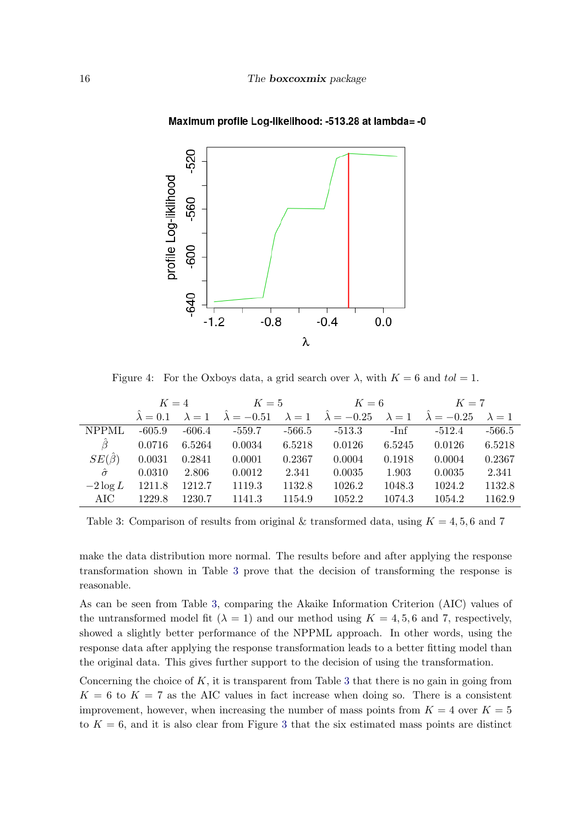

#### Maximum profile Log-likelihood: -513.28 at lambda= -0

<span id="page-15-0"></span>Figure 4: For the Oxboys data, a grid search over  $\lambda$ , with  $K = 6$  and  $tol = 1$ .

|                   | $K=4$               |               | $K=5$                   |          | $K=6$                                 |               | $K=7$                   |               |
|-------------------|---------------------|---------------|-------------------------|----------|---------------------------------------|---------------|-------------------------|---------------|
|                   | $\hat{\lambda}=0.1$ | $\lambda = 1$ | $\hat{\lambda} = -0.51$ |          | $\lambda = 1$ $\hat{\lambda} = -0.25$ | $\lambda = 1$ | $\hat{\lambda} = -0.25$ | $\lambda = 1$ |
| <b>NPPML</b>      | $-605.9$            | $-606.4$      | $-559.7$                | $-566.5$ | $-513.3$                              | -Inf          | $-512.4$                | $-566.5$      |
| $\ddot{\beta}$    | 0.0716              | 6.5264        | 0.0034                  | 6.5218   | 0.0126                                | 6.5245        | 0.0126                  | 6.5218        |
| $SE(\hat{\beta})$ | 0.0031              | 0.2841        | 0.0001                  | 0.2367   | 0.0004                                | 0.1918        | 0.0004                  | 0.2367        |
| $\hat{\sigma}$    | 0.0310              | 2.806         | 0.0012                  | 2.341    | 0.0035                                | 1.903         | 0.0035                  | 2.341         |
| $-2 \log L$       | 1211.8              | 1212.7        | 1119.3                  | 1132.8   | 1026.2                                | 1048.3        | 1024.2                  | 1132.8        |
| AIC               | 1229.8              | 1230.7        | 1141.3                  | 1154.9   | 1052.2                                | 1074.3        | 1054.2                  | 1162.9        |

<span id="page-15-1"></span>Table 3: Comparison of results from original & transformed data, using  $K = 4, 5, 6$  and 7

make the data distribution more normal. The results before and after applying the response transformation shown in Table [3](#page-15-1) prove that the decision of transforming the response is reasonable.

As can be seen from Table [3,](#page-15-1) comparing the Akaike Information Criterion (AIC) values of the untransformed model fit  $(\lambda = 1)$  and our method using  $K = 4, 5, 6$  and 7, respectively, showed a slightly better performance of the NPPML approach. In other words, using the response data after applying the response transformation leads to a better fitting model than the original data. This gives further support to the decision of using the transformation.

Concerning the choice of  $K$ , it is transparent from Table [3](#page-15-1) that there is no gain in going from  $K = 6$  to  $K = 7$  as the AIC values in fact increase when doing so. There is a consistent improvement, however, when increasing the number of mass points from  $K = 4$  over  $K = 5$ to  $K = 6$ , and it is also clear from Figure [3](#page-14-0) that the six estimated mass points are distinct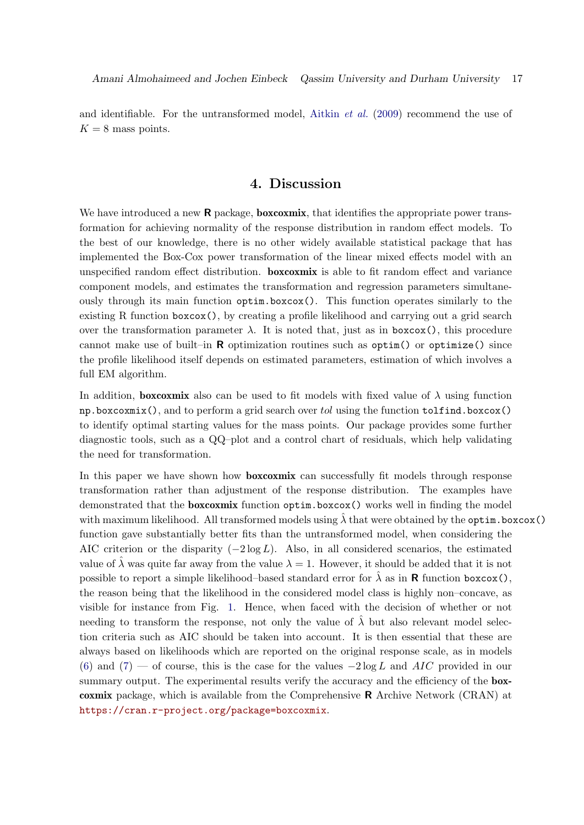and identifiable. For the untransformed model, [Aitkin](#page-17-5) et al. [\(2009\)](#page-17-5) recommend the use of  $K = 8$  mass points.

## 4. Discussion

<span id="page-16-0"></span>We have introduced a new  $\bf{R}$  package, **boxcoxmix**, that identifies the appropriate power transformation for achieving normality of the response distribution in random effect models. To the best of our knowledge, there is no other widely available statistical package that has implemented the Box-Cox power transformation of the linear mixed effects model with an unspecified random effect distribution. boxcoxmix is able to fit random effect and variance component models, and estimates the transformation and regression parameters simultaneously through its main function optim.boxcox(). This function operates similarly to the existing R function boxcox(), by creating a profile likelihood and carrying out a grid search over the transformation parameter  $\lambda$ . It is noted that, just as in boxcox(), this procedure cannot make use of built–in  $\bf{R}$  optimization routines such as optim() or optimize() since the profile likelihood itself depends on estimated parameters, estimation of which involves a full EM algorithm.

In addition, **boxcoxmix** also can be used to fit models with fixed value of  $\lambda$  using function  $np.boxcoxmix()$ , and to perform a grid search over tol using the function  $tolfind.boxcox()$ to identify optimal starting values for the mass points. Our package provides some further diagnostic tools, such as a QQ–plot and a control chart of residuals, which help validating the need for transformation.

In this paper we have shown how **boxcoxmix** can successfully fit models through response transformation rather than adjustment of the response distribution. The examples have demonstrated that the **boxcoxmix** function optim.boxcox() works well in finding the model with maximum likelihood. All transformed models using  $\hat{\lambda}$  that were obtained by the optim.boxcox() function gave substantially better fits than the untransformed model, when considering the AIC criterion or the disparity  $(-2 \log L)$ . Also, in all considered scenarios, the estimated value of  $\lambda$  was quite far away from the value  $\lambda = 1$ . However, it should be added that it is not possible to report a simple likelihood–based standard error for  $\lambda$  as in **R** function boxcox(), the reason being that the likelihood in the considered model class is highly non–concave, as visible for instance from Fig. [1.](#page-9-0) Hence, when faced with the decision of whether or not needing to transform the response, not only the value of  $\hat{\lambda}$  but also relevant model selection criteria such as AIC should be taken into account. It is then essential that these are always based on likelihoods which are reported on the original response scale, as in models [\(6\)](#page-3-1) and [\(7\)](#page-4-3) — of course, this is the case for the values  $-2 \log L$  and AIC provided in our summary output. The experimental results verify the accuracy and the efficiency of the **box**coxmix package, which is available from the Comprehensive R Archive Network (CRAN) at <https://cran.r-project.org/package=boxcoxmix>.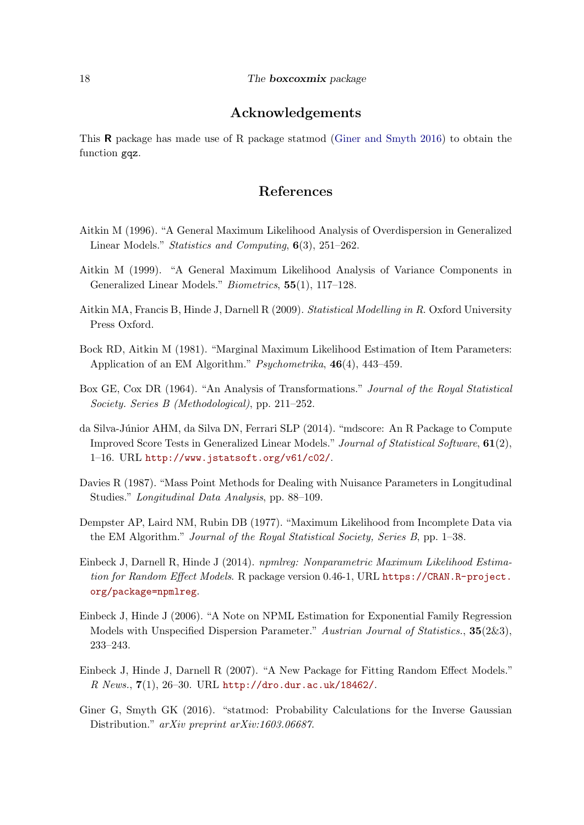# Acknowledgements

This R package has made use of R package statmod [\(Giner and Smyth](#page-17-11) [2016\)](#page-17-11) to obtain the function gqz.

# References

- <span id="page-17-2"></span>Aitkin M (1996). "A General Maximum Likelihood Analysis of Overdispersion in Generalized Linear Models." Statistics and Computing, 6(3), 251–262.
- <span id="page-17-4"></span>Aitkin M (1999). "A General Maximum Likelihood Analysis of Variance Components in Generalized Linear Models." Biometrics, 55(1), 117–128.
- <span id="page-17-5"></span>Aitkin MA, Francis B, Hinde J, Darnell R (2009). Statistical Modelling in R. Oxford University Press Oxford.
- <span id="page-17-1"></span>Bock RD, Aitkin M (1981). "Marginal Maximum Likelihood Estimation of Item Parameters: Application of an EM Algorithm." Psychometrika, 46(4), 443–459.
- <span id="page-17-0"></span>Box GE, Cox DR (1964). "An Analysis of Transformations." Journal of the Royal Statistical Society. Series B (Methodological), pp. 211–252.
- <span id="page-17-10"></span>da Silva-J´unior AHM, da Silva DN, Ferrari SLP (2014). "mdscore: An R Package to Compute Improved Score Tests in Generalized Linear Models." Journal of Statistical Software, 61(2), 1–16. URL <http://www.jstatsoft.org/v61/c02/>.
- <span id="page-17-3"></span>Davies R (1987). "Mass Point Methods for Dealing with Nuisance Parameters in Longitudinal Studies." Longitudinal Data Analysis, pp. 88–109.
- <span id="page-17-7"></span>Dempster AP, Laird NM, Rubin DB (1977). "Maximum Likelihood from Incomplete Data via the EM Algorithm." Journal of the Royal Statistical Society, Series B, pp. 1–38.
- <span id="page-17-8"></span>Einbeck J, Darnell R, Hinde J (2014). npmlreg: Nonparametric Maximum Likelihood Estimation for Random Effect Models. R package version 0.46-1, URL [https://CRAN.R-project.](https://CRAN.R-project.org/package=npmlreg) [org/package=npmlreg](https://CRAN.R-project.org/package=npmlreg).
- <span id="page-17-9"></span>Einbeck J, Hinde J (2006). "A Note on NPML Estimation for Exponential Family Regression Models with Unspecified Dispersion Parameter." Austrian Journal of Statistics., 35(2&3), 233–243.
- <span id="page-17-6"></span>Einbeck J, Hinde J, Darnell R (2007). "A New Package for Fitting Random Effect Models."  $R$  News.,  $7(1)$ , 26-30. URL <http://dro.dur.ac.uk/18462/>.
- <span id="page-17-11"></span>Giner G, Smyth GK (2016). "statmod: Probability Calculations for the Inverse Gaussian Distribution." arXiv preprint arXiv:1603.06687.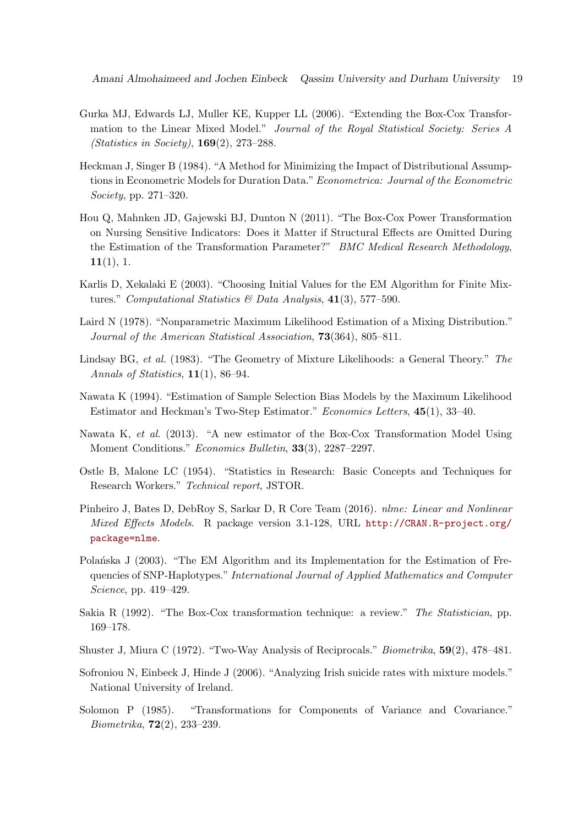- <span id="page-18-2"></span>Gurka MJ, Edwards LJ, Muller KE, Kupper LL (2006). "Extending the Box-Cox Transformation to the Linear Mixed Model." Journal of the Royal Statistical Society: Series A (Statistics in Society), 169(2), 273–288.
- <span id="page-18-3"></span>Heckman J, Singer B (1984). "A Method for Minimizing the Impact of Distributional Assumptions in Econometric Models for Duration Data." Econometrica: Journal of the Econometric Society, pp. 271–320.
- <span id="page-18-8"></span>Hou Q, Mahnken JD, Gajewski BJ, Dunton N (2011). "The Box-Cox Power Transformation on Nursing Sensitive Indicators: Does it Matter if Structural Effects are Omitted During the Estimation of the Transformation Parameter?" BMC Medical Research Methodology,  $11(1), 1.$
- <span id="page-18-7"></span>Karlis D, Xekalaki E (2003). "Choosing Initial Values for the EM Algorithm for Finite Mixtures." Computational Statistics & Data Analysis,  $41(3)$ , 577-590.
- <span id="page-18-4"></span>Laird N (1978). "Nonparametric Maximum Likelihood Estimation of a Mixing Distribution." Journal of the American Statistical Association, 73(364), 805–811.
- <span id="page-18-5"></span>Lindsay BG, et al. (1983). "The Geometry of Mixture Likelihoods: a General Theory." The Annals of Statistics,  $11(1)$ , 86–94.
- <span id="page-18-9"></span>Nawata K (1994). "Estimation of Sample Selection Bias Models by the Maximum Likelihood Estimator and Heckman's Two-Step Estimator." Economics Letters, 45(1), 33–40.
- <span id="page-18-10"></span>Nawata K, et al. (2013). "A new estimator of the Box-Cox Transformation Model Using Moment Conditions." Economics Bulletin, 33(3), 2287–2297.
- <span id="page-18-12"></span>Ostle B, Malone LC (1954). "Statistics in Research: Basic Concepts and Techniques for Research Workers." Technical report, JSTOR.
- <span id="page-18-14"></span>Pinheiro J, Bates D, DebRoy S, Sarkar D, R Core Team (2016). nlme: Linear and Nonlinear Mixed Effects Models. R package version 3.1-128, URL [http://CRAN.R-project.org/](http://CRAN.R-project.org/package=nlme) [package=nlme](http://CRAN.R-project.org/package=nlme).
- <span id="page-18-11"></span>Polantiska J (2003). "The EM Algorithm and its Implementation for the Estimation of Frequencies of SNP-Haplotypes." International Journal of Applied Mathematics and Computer Science, pp. 419–429.
- <span id="page-18-0"></span>Sakia R (1992). "The Box-Cox transformation technique: a review." The Statistician, pp. 169–178.
- <span id="page-18-13"></span>Shuster J, Miura C (1972). "Two-Way Analysis of Reciprocals." Biometrika, 59(2), 478–481.
- <span id="page-18-6"></span>Sofroniou N, Einbeck J, Hinde J (2006). "Analyzing Irish suicide rates with mixture models." National University of Ireland.
- <span id="page-18-1"></span>Solomon P (1985). "Transformations for Components of Variance and Covariance." Biometrika, 72(2), 233–239.